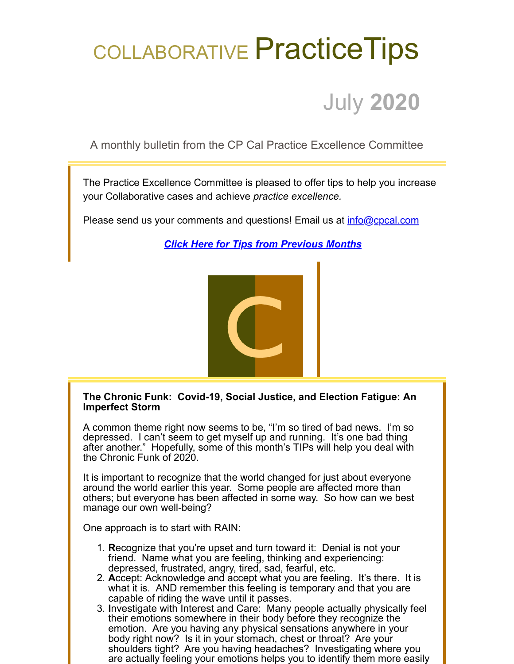## COLLABORATIVE Practice Tips

## July **2020**

A monthly bulletin from the CP Cal Practice Excellence Committee

The Practice Excellence Committee is pleased to offer tips to help you increase your Collaborative cases and achieve *practice excellence.*

Please send us your comments and questions! Email us at *[info@cpcal.com](mailto:info@cpcal.com)* 

*[Click Here for Tips from Previous Months](http://www.cpcal.com/for-professionals/practice-tips-newsletter/)*



## **The Chronic Funk: Covid-19, Social Justice, and Election Fatigue: An Imperfect Storm**

A common theme right now seems to be, "I'm so tired of bad news. I'm so depressed. I can't seem to get myself up and running. It's one bad thing after another." Hopefully, some of this month's TIPs will help you deal with the Chronic Funk of 2020.

It is important to recognize that the world changed for just about everyone around the world earlier this year. Some people are affected more than others; but everyone has been affected in some way. So how can we best manage our own well-being?

One approach is to start with RAIN:

- 1. **R**ecognize that you're upset and turn toward it: Denial is not your friend. Name what you are feeling, thinking and experiencing: depressed, frustrated, angry, tired, sad, fearful, etc.
- 2. **A**ccept: Acknowledge and accept what you are feeling. It's there. It is what it is. AND remember this feeling is temporary and that you are capable of riding the wave until it passes.
- 3. **I**nvestigate with Interest and Care: Many people actually physically feel their emotions somewhere in their body before they recognize the emotion. Are you having any physical sensations anywhere in your body right now? Is it in your stomach, chest or throat? Are your shoulders tight? Are you having headaches? Investigating where you are actually feeling your emotions helps you to identify them more easily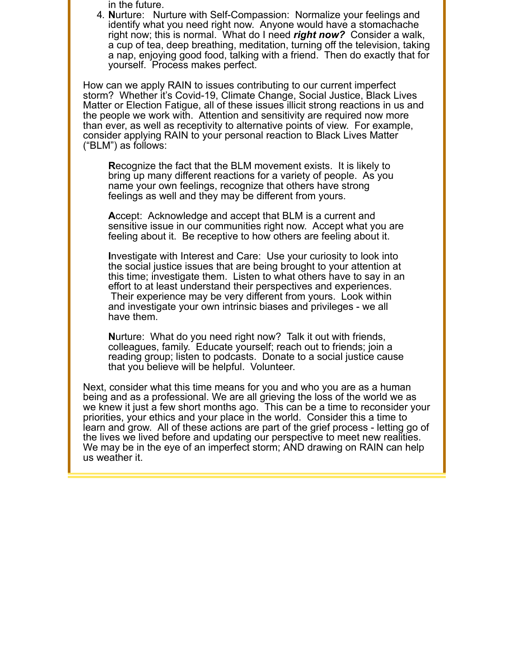in the future.

4. **N**urture: Nurture with Self-Compassion: Normalize your feelings and identify what you need right now. Anyone would have a stomachache right now; this is normal. What do I need *right now?* Consider a walk, a cup of tea, deep breathing, meditation, turning off the television, taking a nap, enjoying good food, talking with a friend. Then do exactly that for yourself. Process makes perfect.

How can we apply RAIN to issues contributing to our current imperfect storm? Whether it's Covid-19, Climate Change, Social Justice, Black Lives Matter or Election Fatigue, all of these issues illicit strong reactions in us and the people we work with. Attention and sensitivity are required now more than ever, as well as receptivity to alternative points of view. For example, consider applying RAIN to your personal reaction to Black Lives Matter ("BLM") as follows:

**R**ecognize the fact that the BLM movement exists. It is likely to bring up many different reactions for a variety of people. As you name your own feelings, recognize that others have strong feelings as well and they may be different from yours.

**A**ccept: Acknowledge and accept that BLM is a current and sensitive issue in our communities right now. Accept what you are feeling about it. Be receptive to how others are feeling about it.

**I**nvestigate with Interest and Care: Use your curiosity to look into the social justice issues that are being brought to your attention at this time; investigate them. Listen to what others have to say in an effort to at least understand their perspectives and experiences. Their experience may be very different from yours. Look within and investigate your own intrinsic biases and privileges - we all have them.

**N**urture: What do you need right now? Talk it out with friends, colleagues, family. Educate yourself; reach out to friends; join a reading group; listen to podcasts. Donate to a social justice cause that you believe will be helpful. Volunteer.

Next, consider what this time means for you and who you are as a human being and as a professional. We are all grieving the loss of the world we as we knew it just a few short months ago. This can be a time to reconsider your priorities, your ethics and your place in the world. Consider this a time to learn and grow. All of these actions are part of the grief process - letting go of the lives we lived before and updating our perspective to meet new realities. We may be in the eye of an imperfect storm; AND drawing on RAIN can help us weather it.